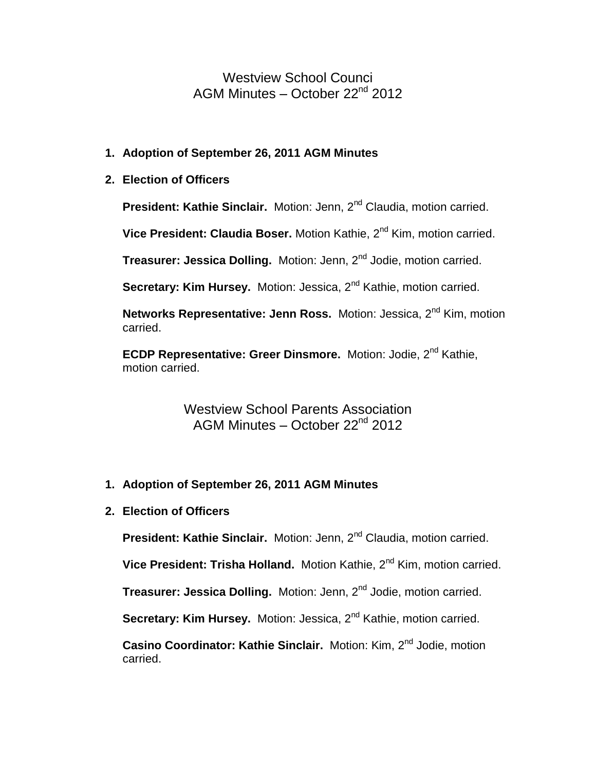Westview School Counci AGM Minutes – October 22nd 2012

## **1. Adoption of September 26, 2011 AGM Minutes**

## **2. Election of Officers**

**President: Kathie Sinclair.** Motion: Jenn, 2<sup>nd</sup> Claudia, motion carried.

**Vice President: Claudia Boser.** Motion Kathie, 2nd Kim, motion carried.

**Treasurer: Jessica Dolling.** Motion: Jenn, 2<sup>nd</sup> Jodie, motion carried.

**Secretary: Kim Hursey.** Motion: Jessica, 2<sup>nd</sup> Kathie, motion carried.

**Networks Representative: Jenn Ross.** Motion: Jessica, 2<sup>nd</sup> Kim, motion carried.

**ECDP Representative: Greer Dinsmore.** Motion: Jodie, 2<sup>nd</sup> Kathie, motion carried.

> Westview School Parents Association AGM Minutes – October 22nd 2012

## **1. Adoption of September 26, 2011 AGM Minutes**

**2. Election of Officers**

**President: Kathie Sinclair.** Motion: Jenn, 2<sup>nd</sup> Claudia, motion carried.

**Vice President: Trisha Holland.** Motion Kathie, 2<sup>nd</sup> Kim, motion carried.

**Treasurer: Jessica Dolling.** Motion: Jenn, 2<sup>nd</sup> Jodie, motion carried.

**Secretary: Kim Hursey.** Motion: Jessica, 2<sup>nd</sup> Kathie, motion carried.

**Casino Coordinator: Kathie Sinclair.** Motion: Kim, 2<sup>nd</sup> Jodie, motion carried.